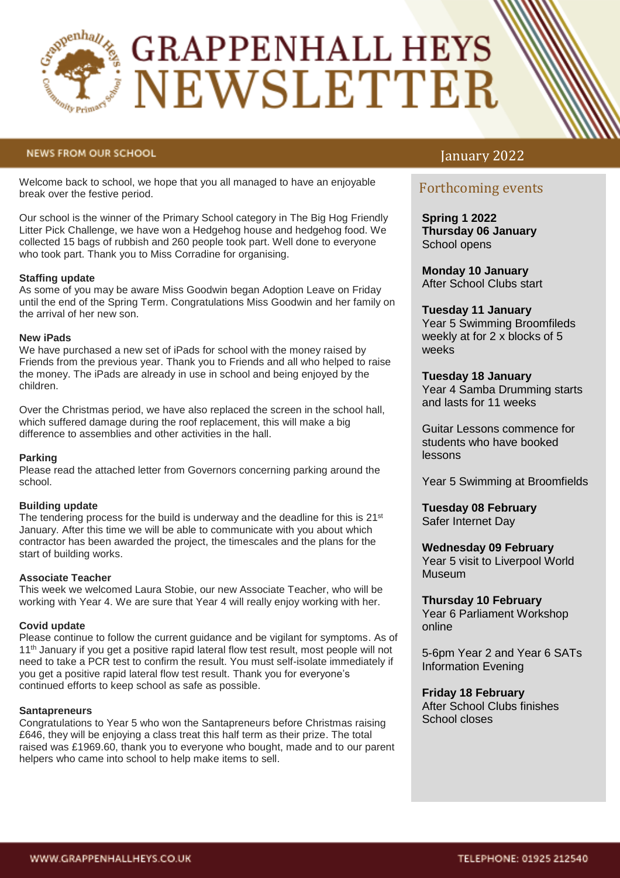

# **GRAPPENHALL HEYS** NEWSLETTER

## **NEWS FROM OUR SCHOOL**

Welcome back to school, we hope that you all managed to have an enjoyable break over the festive period.

Our school is the winner of the Primary School category in The Big Hog Friendly Litter Pick Challenge, we have won a Hedgehog house and hedgehog food. We collected 15 bags of rubbish and 260 people took part. Well done to everyone who took part. Thank you to Miss Corradine for organising.

## **Staffing update**

As some of you may be aware Miss Goodwin began Adoption Leave on Friday until the end of the Spring Term. Congratulations Miss Goodwin and her family on the arrival of her new son.

## **New iPads**

We have purchased a new set of iPads for school with the money raised by Friends from the previous year. Thank you to Friends and all who helped to raise the money. The iPads are already in use in school and being enjoyed by the children.

Over the Christmas period, we have also replaced the screen in the school hall, which suffered damage during the roof replacement, this will make a big difference to assemblies and other activities in the hall.

## **Parking**

Please read the attached letter from Governors concerning parking around the school.

## **Building update**

The tendering process for the build is underway and the deadline for this is  $21<sup>st</sup>$ January. After this time we will be able to communicate with you about which contractor has been awarded the project, the timescales and the plans for the start of building works.

## **Associate Teacher**

This week we welcomed Laura Stobie, our new Associate Teacher, who will be working with Year 4. We are sure that Year 4 will really enjoy working with her.

## **Covid update**

Please continue to follow the current guidance and be vigilant for symptoms. As of 11<sup>th</sup> January if you get a positive rapid lateral flow test result, most people will not need to take a PCR test to confirm the result. You must self-isolate immediately if you get a positive rapid lateral flow test result. Thank you for everyone's continued efforts to keep school as safe as possible.

## **Santapreneurs**

Congratulations to Year 5 who won the Santapreneurs before Christmas raising £646, they will be enjoying a class treat this half term as their prize. The total raised was £1969.60, thank you to everyone who bought, made and to our parent helpers who came into school to help make items to sell.

## January 2022

## Forthcoming events

**Spring 1 2022 Thursday 06 January** School opens

**Monday 10 January**  After School Clubs start

## **Tuesday 11 January**

Year 5 Swimming Broomfileds weekly at for 2 x blocks of 5 weeks

## **Tuesday 18 January**

Year 4 Samba Drumming starts and lasts for 11 weeks

Guitar Lessons commence for students who have booked lessons

Year 5 Swimming at Broomfields

**Tuesday 08 February** Safer Internet Day

## **Wednesday 09 February**

Year 5 visit to Liverpool World Museum

## **Thursday 10 February** Year 6 Parliament Workshop online

5-6pm Year 2 and Year 6 SATs Information Evening

## **Friday 18 February**

After School Clubs finishes School closes